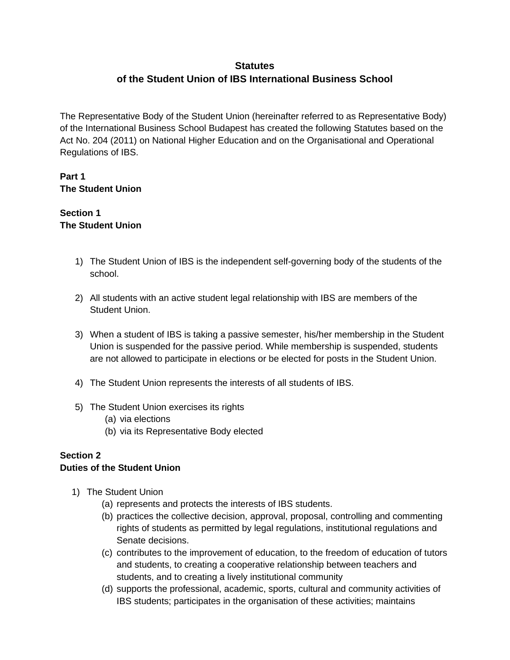# **Statutes of the Student Union of IBS International Business School**

The Representative Body of the Student Union (hereinafter referred to as Representative Body) of the International Business School Budapest has created the following Statutes based on the Act No. 204 (2011) on National Higher Education and on the Organisational and Operational Regulations of IBS.

## **Part 1 The Student Union**

#### **Section 1 The Student Union**

- 1) The Student Union of IBS is the independent self-governing body of the students of the school.
- 2) All students with an active student legal relationship with IBS are members of the Student Union.
- 3) When a student of IBS is taking a passive semester, his/her membership in the Student Union is suspended for the passive period. While membership is suspended, students are not allowed to participate in elections or be elected for posts in the Student Union.
- 4) The Student Union represents the interests of all students of IBS.
- 5) The Student Union exercises its rights
	- (a) via elections
	- (b) via its Representative Body elected

## **Section 2**

#### **Duties of the Student Union**

- 1) The Student Union
	- (a) represents and protects the interests of IBS students.
	- (b) practices the collective decision, approval, proposal, controlling and commenting rights of students as permitted by legal regulations, institutional regulations and Senate decisions.
	- (c) contributes to the improvement of education, to the freedom of education of tutors and students, to creating a cooperative relationship between teachers and students, and to creating a lively institutional community
	- (d) supports the professional, academic, sports, cultural and community activities of IBS students; participates in the organisation of these activities; maintains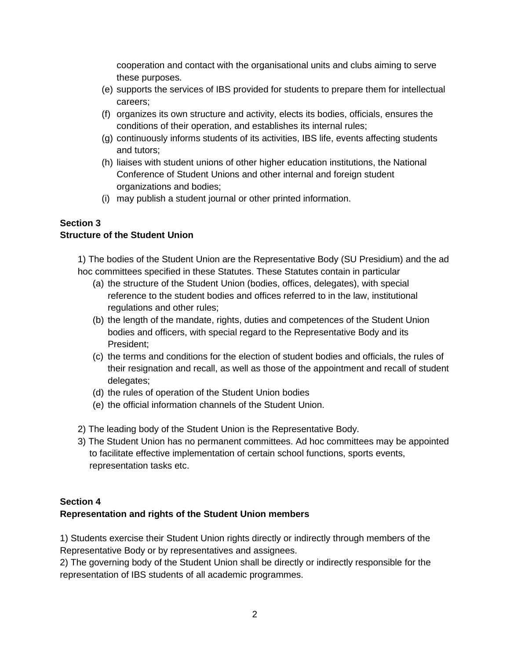cooperation and contact with the organisational units and clubs aiming to serve these purposes.

- (e) supports the services of IBS provided for students to prepare them for intellectual careers;
- (f) organizes its own structure and activity, elects its bodies, officials, ensures the conditions of their operation, and establishes its internal rules;
- (g) continuously informs students of its activities, IBS life, events affecting students and tutors;
- (h) liaises with student unions of other higher education institutions, the National Conference of Student Unions and other internal and foreign student organizations and bodies;
- (i) may publish a student journal or other printed information.

# **Section 3**

## **Structure of the Student Union**

1) The bodies of the Student Union are the Representative Body (SU Presidium) and the ad hoc committees specified in these Statutes. These Statutes contain in particular

- (a) the structure of the Student Union (bodies, offices, delegates), with special reference to the student bodies and offices referred to in the law, institutional regulations and other rules;
- (b) the length of the mandate, rights, duties and competences of the Student Union bodies and officers, with special regard to the Representative Body and its President;
- (c) the terms and conditions for the election of student bodies and officials, the rules of their resignation and recall, as well as those of the appointment and recall of student delegates;
- (d) the rules of operation of the Student Union bodies
- (e) the official information channels of the Student Union.
- 2) The leading body of the Student Union is the Representative Body.
- 3) The Student Union has no permanent committees. Ad hoc committees may be appointed to facilitate effective implementation of certain school functions, sports events, representation tasks etc.

## **Section 4**

#### **Representation and rights of the Student Union members**

1) Students exercise their Student Union rights directly or indirectly through members of the Representative Body or by representatives and assignees.

2) The governing body of the Student Union shall be directly or indirectly responsible for the representation of IBS students of all academic programmes.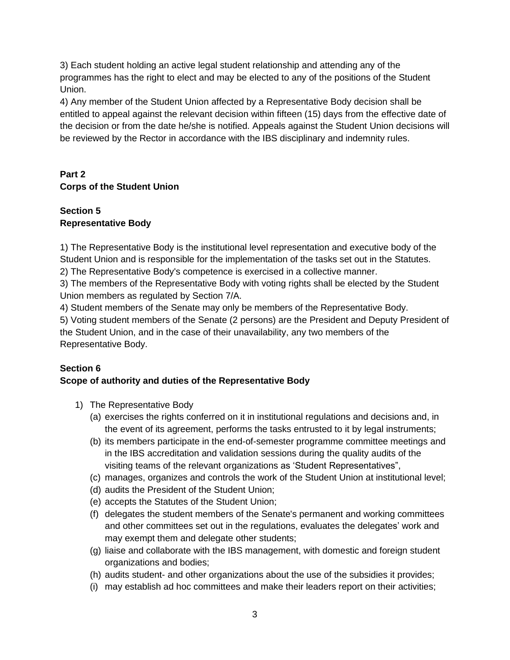3) Each student holding an active legal student relationship and attending any of the programmes has the right to elect and may be elected to any of the positions of the Student Union.

4) Any member of the Student Union affected by a Representative Body decision shall be entitled to appeal against the relevant decision within fifteen (15) days from the effective date of the decision or from the date he/she is notified. Appeals against the Student Union decisions will be reviewed by the Rector in accordance with the IBS disciplinary and indemnity rules.

# **Part 2 Corps of the Student Union**

## **Section 5 Representative Body**

1) The Representative Body is the institutional level representation and executive body of the Student Union and is responsible for the implementation of the tasks set out in the Statutes.

2) The Representative Body's competence is exercised in a collective manner.

3) The members of the Representative Body with voting rights shall be elected by the Student Union members as regulated by Section 7/A.

4) Student members of the Senate may only be members of the Representative Body.

5) Voting student members of the Senate (2 persons) are the President and Deputy President of the Student Union, and in the case of their unavailability, any two members of the Representative Body.

## **Section 6 Scope of authority and duties of the Representative Body**

- 1) The Representative Body
	- (a) exercises the rights conferred on it in institutional regulations and decisions and, in the event of its agreement, performs the tasks entrusted to it by legal instruments;
	- (b) its members participate in the end-of-semester programme committee meetings and in the IBS accreditation and validation sessions during the quality audits of the visiting teams of the relevant organizations as 'Student Representatives",
	- (c) manages, organizes and controls the work of the Student Union at institutional level;
	- (d) audits the President of the Student Union;
	- (e) accepts the Statutes of the Student Union;
	- (f) delegates the student members of the Senate's permanent and working committees and other committees set out in the regulations, evaluates the delegates' work and may exempt them and delegate other students;
	- (g) liaise and collaborate with the IBS management, with domestic and foreign student organizations and bodies;
	- (h) audits student- and other organizations about the use of the subsidies it provides;
	- (i) may establish ad hoc committees and make their leaders report on their activities;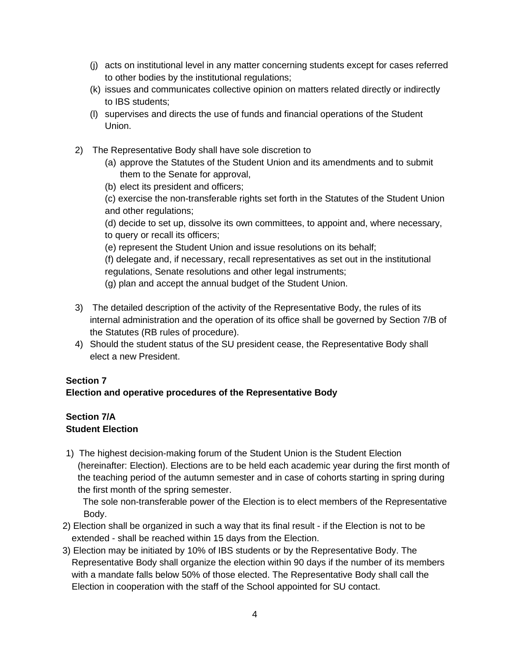- (j) acts on institutional level in any matter concerning students except for cases referred to other bodies by the institutional regulations;
- (k) issues and communicates collective opinion on matters related directly or indirectly to IBS students;
- (l) supervises and directs the use of funds and financial operations of the Student Union.
- 2) The Representative Body shall have sole discretion to
	- (a) approve the Statutes of the Student Union and its amendments and to submit them to the Senate for approval,
	- (b) elect its president and officers;

(c) exercise the non-transferable rights set forth in the Statutes of the Student Union and other regulations;

(d) decide to set up, dissolve its own committees, to appoint and, where necessary, to query or recall its officers;

(e) represent the Student Union and issue resolutions on its behalf;

(f) delegate and, if necessary, recall representatives as set out in the institutional regulations, Senate resolutions and other legal instruments;

- (g) plan and accept the annual budget of the Student Union.
- 3) The detailed description of the activity of the Representative Body, the rules of its internal administration and the operation of its office shall be governed by Section 7/B of the Statutes (RB rules of procedure).
- 4) Should the student status of the SU president cease, the Representative Body shall elect a new President.

#### **Section 7**

#### **Election and operative procedures of the Representative Body**

#### **Section 7/A Student Election**

1) The highest decision-making forum of the Student Union is the Student Election (hereinafter: Election). Elections are to be held each academic year during the first month of the teaching period of the autumn semester and in case of cohorts starting in spring during the first month of the spring semester.

 The sole non-transferable power of the Election is to elect members of the Representative Body.

- 2) Election shall be organized in such a way that its final result if the Election is not to be extended - shall be reached within 15 days from the Election.
- 3) Election may be initiated by 10% of IBS students or by the Representative Body. The Representative Body shall organize the election within 90 days if the number of its members with a mandate falls below 50% of those elected. The Representative Body shall call the Election in cooperation with the staff of the School appointed for SU contact.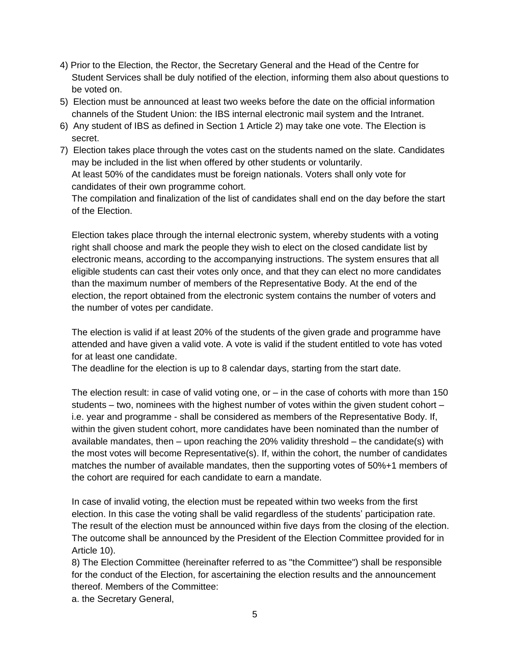- 4) Prior to the Election, the Rector, the Secretary General and the Head of the Centre for Student Services shall be duly notified of the election, informing them also about questions to be voted on.
- 5) Election must be announced at least two weeks before the date on the official information channels of the Student Union: the IBS internal electronic mail system and the Intranet.
- 6) Any student of IBS as defined in Section 1 Article 2) may take one vote. The Election is secret.
- 7) Election takes place through the votes cast on the students named on the slate. Candidates may be included in the list when offered by other students or voluntarily. At least 50% of the candidates must be foreign nationals. Voters shall only vote for candidates of their own programme cohort.

The compilation and finalization of the list of candidates shall end on the day before the start of the Election.

Election takes place through the internal electronic system, whereby students with a voting right shall choose and mark the people they wish to elect on the closed candidate list by electronic means, according to the accompanying instructions. The system ensures that all eligible students can cast their votes only once, and that they can elect no more candidates than the maximum number of members of the Representative Body. At the end of the election, the report obtained from the electronic system contains the number of voters and the number of votes per candidate.

The election is valid if at least 20% of the students of the given grade and programme have attended and have given a valid vote. A vote is valid if the student entitled to vote has voted for at least one candidate.

The deadline for the election is up to 8 calendar days, starting from the start date.

The election result: in case of valid voting one, or  $-$  in the case of cohorts with more than 150 students – two, nominees with the highest number of votes within the given student cohort – i.e. year and programme - shall be considered as members of the Representative Body. If, within the given student cohort, more candidates have been nominated than the number of available mandates, then  $-$  upon reaching the 20% validity threshold  $-$  the candidate(s) with the most votes will become Representative(s). If, within the cohort, the number of candidates matches the number of available mandates, then the supporting votes of 50%+1 members of the cohort are required for each candidate to earn a mandate.

In case of invalid voting, the election must be repeated within two weeks from the first election. In this case the voting shall be valid regardless of the students' participation rate. The result of the election must be announced within five days from the closing of the election. The outcome shall be announced by the President of the Election Committee provided for in Article 10).

8) The Election Committee (hereinafter referred to as "the Committee") shall be responsible for the conduct of the Election, for ascertaining the election results and the announcement thereof. Members of the Committee:

a. the Secretary General,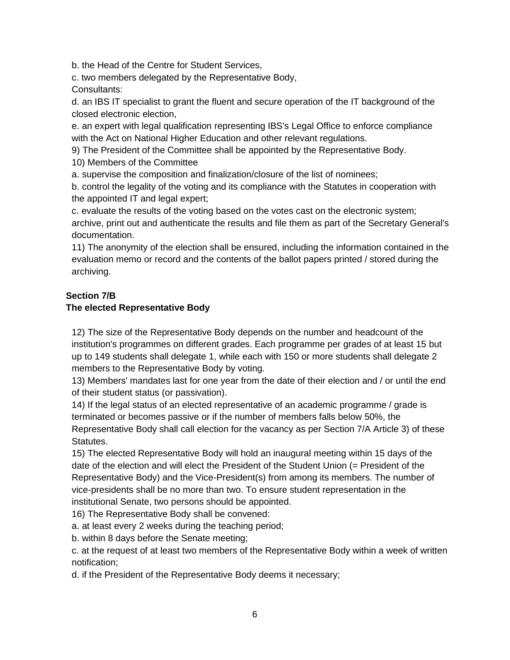b. the Head of the Centre for Student Services,

c. two members delegated by the Representative Body, Consultants:

d. an IBS IT specialist to grant the fluent and secure operation of the IT background of the closed electronic election,

e. an expert with legal qualification representing IBS's Legal Office to enforce compliance with the Act on National Higher Education and other relevant regulations.

9) The President of the Committee shall be appointed by the Representative Body.

10) Members of the Committee

a. supervise the composition and finalization/closure of the list of nominees;

b. control the legality of the voting and its compliance with the Statutes in cooperation with the appointed IT and legal expert;

c. evaluate the results of the voting based on the votes cast on the electronic system; archive, print out and authenticate the results and file them as part of the Secretary General's documentation.

11) The anonymity of the election shall be ensured, including the information contained in the evaluation memo or record and the contents of the ballot papers printed / stored during the archiving.

## **Section 7/B**

#### **The elected Representative Body**

12) The size of the Representative Body depends on the number and headcount of the institution's programmes on different grades. Each programme per grades of at least 15 but up to 149 students shall delegate 1, while each with 150 or more students shall delegate 2 members to the Representative Body by voting.

13) Members' mandates last for one year from the date of their election and / or until the end of their student status (or passivation).

14) If the legal status of an elected representative of an academic programme / grade is terminated or becomes passive or if the number of members falls below 50%, the Representative Body shall call election for the vacancy as per Section 7/A Article 3) of these Statutes.

15) The elected Representative Body will hold an inaugural meeting within 15 days of the date of the election and will elect the President of the Student Union (= President of the Representative Body) and the Vice-President(s) from among its members. The number of vice-presidents shall be no more than two. To ensure student representation in the institutional Senate, two persons should be appointed.

16) The Representative Body shall be convened:

a. at least every 2 weeks during the teaching period;

b. within 8 days before the Senate meeting;

c. at the request of at least two members of the Representative Body within a week of written notification;

d. if the President of the Representative Body deems it necessary;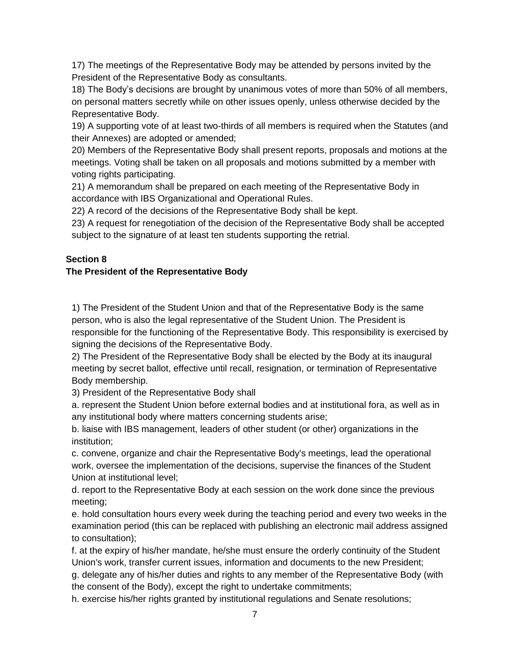17) The meetings of the Representative Body may be attended by persons invited by the President of the Representative Body as consultants.

18) The Body's decisions are brought by unanimous votes of more than 50% of all members, on personal matters secretly while on other issues openly, unless otherwise decided by the Representative Body.

19) A supporting vote of at least two-thirds of all members is required when the Statutes (and their Annexes) are adopted or amended;

20) Members of the Representative Body shall present reports, proposals and motions at the meetings. Voting shall be taken on all proposals and motions submitted by a member with voting rights participating.

21) A memorandum shall be prepared on each meeting of the Representative Body in accordance with IBS Organizational and Operational Rules.

22) A record of the decisions of the Representative Body shall be kept.

23) A request for renegotiation of the decision of the Representative Body shall be accepted subject to the signature of at least ten students supporting the retrial.

#### **Section 8**

#### **The President of the Representative Body**

1) The President of the Student Union and that of the Representative Body is the same person, who is also the legal representative of the Student Union. The President is responsible for the functioning of the Representative Body. This responsibility is exercised by signing the decisions of the Representative Body.

2) The President of the Representative Body shall be elected by the Body at its inaugural meeting by secret ballot, effective until recall, resignation, or termination of Representative Body membership.

3) President of the Representative Body shall

a. represent the Student Union before external bodies and at institutional fora, as well as in any institutional body where matters concerning students arise;

b. liaise with IBS management, leaders of other student (or other) organizations in the institution;

c. convene, organize and chair the Representative Body's meetings, lead the operational work, oversee the implementation of the decisions, supervise the finances of the Student Union at institutional level;

d. report to the Representative Body at each session on the work done since the previous meeting;

e. hold consultation hours every week during the teaching period and every two weeks in the examination period (this can be replaced with publishing an electronic mail address assigned to consultation);

f. at the expiry of his/her mandate, he/she must ensure the orderly continuity of the Student Union's work, transfer current issues, information and documents to the new President;

g. delegate any of his/her duties and rights to any member of the Representative Body (with the consent of the Body), except the right to undertake commitments;

h. exercise his/her rights granted by institutional regulations and Senate resolutions;